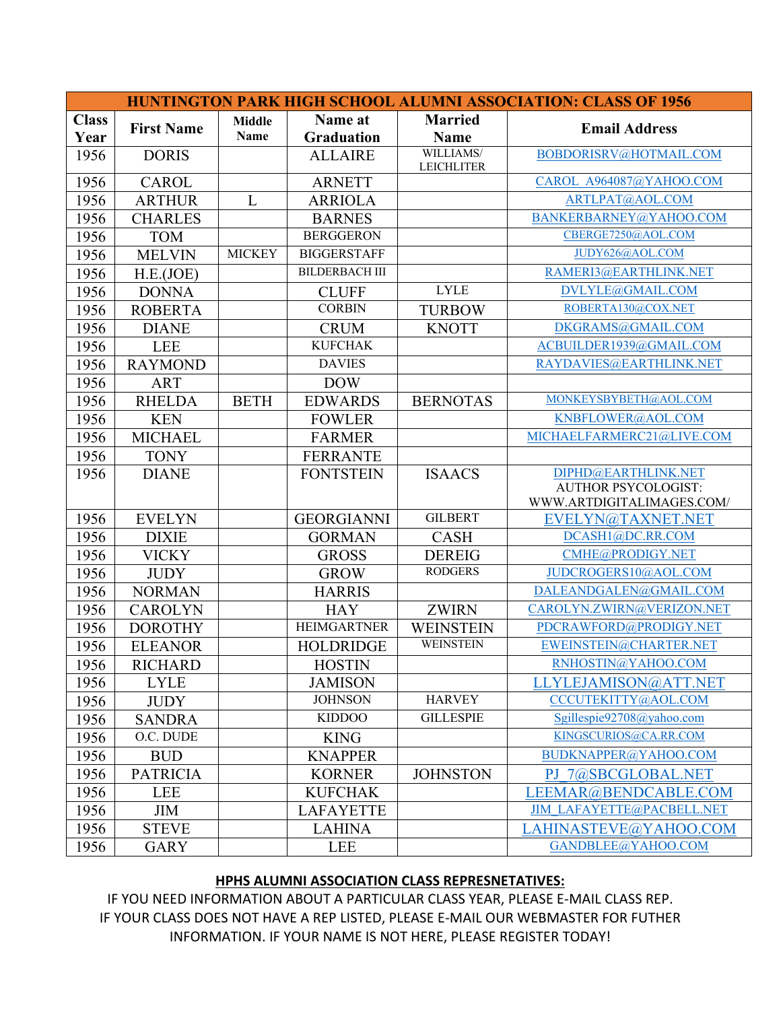| <b>HUNTINGTON PARK HIGH SCHOOL ALUMNI ASSOCIATION: CLASS OF 1956</b> |                   |               |                       |                                 |                                      |  |  |
|----------------------------------------------------------------------|-------------------|---------------|-----------------------|---------------------------------|--------------------------------------|--|--|
| <b>Class</b>                                                         |                   | <b>Middle</b> | Name at               | <b>Married</b>                  | <b>Email Address</b>                 |  |  |
| Year                                                                 | <b>First Name</b> | <b>Name</b>   | <b>Graduation</b>     | <b>Name</b>                     |                                      |  |  |
| 1956                                                                 | <b>DORIS</b>      |               | <b>ALLAIRE</b>        | WILLIAMS/<br><b>LEICHLITER</b>  | BOBDORISRV@HOTMAIL.COM               |  |  |
| 1956                                                                 | <b>CAROL</b>      |               | <b>ARNETT</b>         |                                 | CAROL A964087@YAHOO.COM              |  |  |
| 1956                                                                 | <b>ARTHUR</b>     | L             | <b>ARRIOLA</b>        |                                 | ARTLPAT@AOL.COM                      |  |  |
| 1956                                                                 | <b>CHARLES</b>    |               | <b>BARNES</b>         |                                 | BANKERBARNEY@YAHOO.COM               |  |  |
| 1956                                                                 | <b>TOM</b>        |               | <b>BERGGERON</b>      |                                 | CBERGE7250@AOL.COM                   |  |  |
| 1956                                                                 | <b>MELVIN</b>     | <b>MICKEY</b> | <b>BIGGERSTAFF</b>    |                                 | JUDY626@AOL.COM                      |  |  |
| 1956                                                                 | H.E.(JOE)         |               | <b>BILDERBACH III</b> |                                 | RAMERI3@EARTHLINK.NET                |  |  |
| 1956                                                                 | <b>DONNA</b>      |               | <b>CLUFF</b>          | <b>LYLE</b>                     | DVLYLE@GMAIL.COM                     |  |  |
| 1956                                                                 | <b>ROBERTA</b>    |               | <b>CORBIN</b>         | <b>TURBOW</b>                   | ROBERTA130@COX.NET                   |  |  |
| 1956                                                                 | <b>DIANE</b>      |               | <b>CRUM</b>           | <b>KNOTT</b>                    | DKGRAMS@GMAIL.COM                    |  |  |
| 1956                                                                 | <b>LEE</b>        |               | <b>KUFCHAK</b>        |                                 | ACBUILDER1939@GMAIL.COM              |  |  |
| 1956                                                                 | <b>RAYMOND</b>    |               | <b>DAVIES</b>         |                                 | RAYDAVIES@EARTHLINK.NET              |  |  |
| 1956                                                                 | <b>ART</b>        |               | <b>DOW</b>            |                                 |                                      |  |  |
| 1956                                                                 | <b>RHELDA</b>     | <b>BETH</b>   | <b>EDWARDS</b>        | <b>BERNOTAS</b>                 | MONKEYSBYBETH@AOL.COM                |  |  |
| 1956                                                                 | <b>KEN</b>        |               | <b>FOWLER</b>         |                                 | KNBFLOWER@AOL.COM                    |  |  |
| 1956                                                                 | <b>MICHAEL</b>    |               | <b>FARMER</b>         |                                 | MICHAELFARMERC21@LIVE.COM            |  |  |
| 1956                                                                 | <b>TONY</b>       |               | <b>FERRANTE</b>       |                                 |                                      |  |  |
| 1956                                                                 | <b>DIANE</b>      |               | <b>FONTSTEIN</b>      | <b>ISAACS</b>                   | DIPHD@EARTHLINK.NET                  |  |  |
|                                                                      |                   |               |                       |                                 | <b>AUTHOR PSYCOLOGIST:</b>           |  |  |
|                                                                      |                   |               |                       | <b>GILBERT</b>                  | WWW.ARTDIGITALIMAGES.COM/            |  |  |
| 1956                                                                 | <b>EVELYN</b>     |               | <b>GEORGIANNI</b>     |                                 | EVELYN@TAXNET.NET                    |  |  |
| 1956                                                                 | <b>DIXIE</b>      |               | <b>GORMAN</b>         | <b>CASH</b>                     | DCASH1@DC.RR.COM<br>CMHE@PRODIGY.NET |  |  |
| 1956                                                                 | <b>VICKY</b>      |               | <b>GROSS</b>          | <b>DEREIG</b><br><b>RODGERS</b> |                                      |  |  |
| 1956                                                                 | <b>JUDY</b>       |               | <b>GROW</b>           |                                 | JUDCROGERS10@AOL.COM                 |  |  |
| 1956                                                                 | <b>NORMAN</b>     |               | <b>HARRIS</b>         |                                 | DALEANDGALEN@GMAIL.COM               |  |  |
| 1956                                                                 | <b>CAROLYN</b>    |               | <b>HAY</b>            | <b>ZWIRN</b>                    | CAROLYN.ZWIRN@VERIZON.NET            |  |  |
| 1956                                                                 | <b>DOROTHY</b>    |               | <b>HEIMGARTNER</b>    | <b>WEINSTEIN</b>                | PDCRAWFORD@PRODIGY.NET               |  |  |
| 1956                                                                 | <b>ELEANOR</b>    |               | <b>HOLDRIDGE</b>      | <b>WEINSTEIN</b>                | EWEINSTEIN@CHARTER.NET               |  |  |
| 1956                                                                 | <b>RICHARD</b>    |               | <b>HOSTIN</b>         |                                 | RNHOSTIN@YAHOO.COM                   |  |  |
| 1956                                                                 | <b>LYLE</b>       |               | <b>JAMISON</b>        |                                 | LLYLEJAMISON@ATT.NET                 |  |  |
| 1956                                                                 | <b>JUDY</b>       |               | <b>JOHNSON</b>        | <b>HARVEY</b>                   | CCCUTEKITTY@AOL.COM                  |  |  |
| 1956                                                                 | <b>SANDRA</b>     |               | <b>KIDDOO</b>         | <b>GILLESPIE</b>                | Sgillespie92708@yahoo.com            |  |  |
| 1956                                                                 | O.C. DUDE         |               | <b>KING</b>           |                                 | KINGSCURIOS@CA.RR.COM                |  |  |
| 1956                                                                 | <b>BUD</b>        |               | <b>KNAPPER</b>        |                                 | BUDKNAPPER@YAHOO.COM                 |  |  |
| 1956                                                                 | <b>PATRICIA</b>   |               | <b>KORNER</b>         | <b>JOHNSTON</b>                 | PJ 7@SBCGLOBAL.NET                   |  |  |
| 1956                                                                 | <b>LEE</b>        |               | <b>KUFCHAK</b>        |                                 | LEEMAR@BENDCABLE.COM                 |  |  |
| 1956                                                                 | <b>JIM</b>        |               | <b>LAFAYETTE</b>      |                                 | <b>JIM LAFAYETTE@PACBELL.NET</b>     |  |  |
| 1956                                                                 | <b>STEVE</b>      |               | <b>LAHINA</b>         |                                 | LAHINASTEVE@YAHOO.COM                |  |  |
| 1956                                                                 | <b>GARY</b>       |               | <b>LEE</b>            |                                 | GANDBLEE@YAHOO.COM                   |  |  |

## **HPHS ALUMNI ASSOCIATION CLASS REPRESNETATIVES:**

IF YOU NEED INFORMATION ABOUT A PARTICULAR CLASS YEAR, PLEASE E-MAIL CLASS REP. IF YOUR CLASS DOES NOT HAVE A REP LISTED, PLEASE E-MAIL OUR WEBMASTER FOR FUTHER INFORMATION. IF YOUR NAME IS NOT HERE, PLEASE REGISTER TODAY!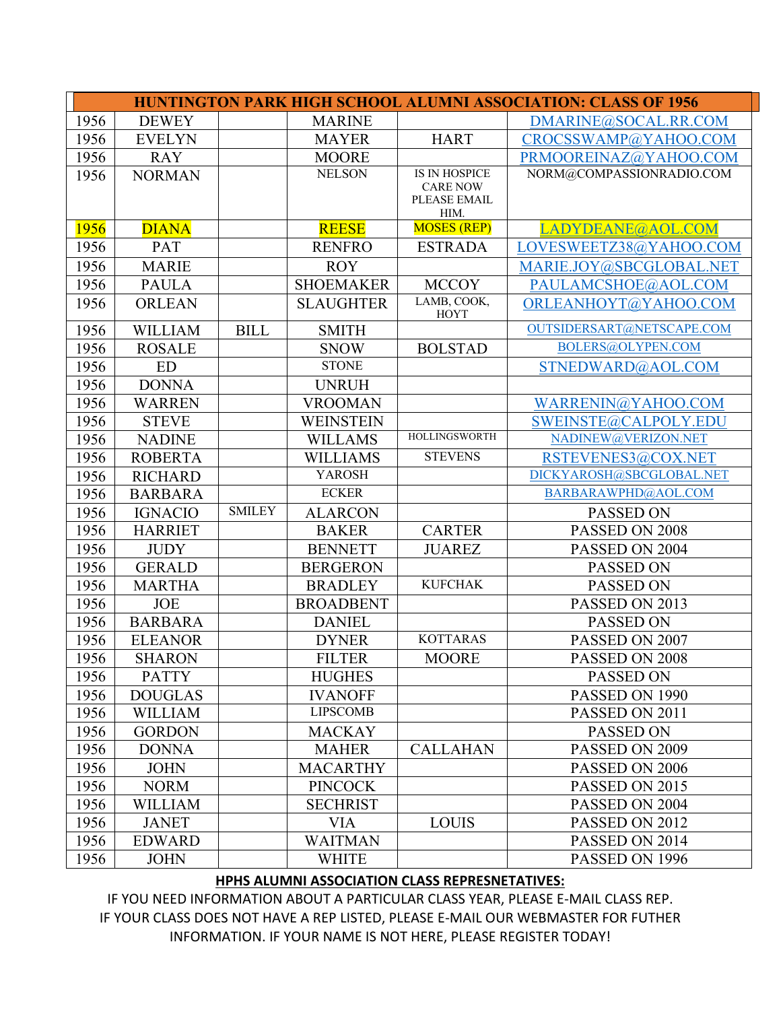| <b>HUNTINGTON PARK HIGH SCHOOL ALUMNI ASSOCIATION: CLASS OF 1956</b> |                |               |                  |                                 |                           |  |  |
|----------------------------------------------------------------------|----------------|---------------|------------------|---------------------------------|---------------------------|--|--|
| 1956                                                                 | <b>DEWEY</b>   |               | <b>MARINE</b>    |                                 | DMARINE@SOCAL.RR.COM      |  |  |
| 1956                                                                 | <b>EVELYN</b>  |               | <b>MAYER</b>     | <b>HART</b>                     | CROCSSWAMP@YAHOO.COM      |  |  |
| 1956                                                                 | <b>RAY</b>     |               | <b>MOORE</b>     |                                 | PRMOOREINAZ@YAHOO.COM     |  |  |
| 1956                                                                 | <b>NORMAN</b>  |               | <b>NELSON</b>    | <b>IS IN HOSPICE</b>            | NORM@COMPASSIONRADIO.COM  |  |  |
|                                                                      |                |               |                  | <b>CARE NOW</b><br>PLEASE EMAIL |                           |  |  |
|                                                                      |                |               |                  | HIM.                            |                           |  |  |
| 1956                                                                 | <b>DIANA</b>   |               | <b>REESE</b>     | <b>MOSES (REP)</b>              | LADYDEANE@AOL.COM         |  |  |
| 1956                                                                 | PAT            |               | <b>RENFRO</b>    | <b>ESTRADA</b>                  | LOVESWEETZ38@YAHOO.COM    |  |  |
| 1956                                                                 | <b>MARIE</b>   |               | <b>ROY</b>       |                                 | MARIE.JOY@SBCGLOBAL.NET   |  |  |
| 1956                                                                 | <b>PAULA</b>   |               | <b>SHOEMAKER</b> | <b>MCCOY</b>                    | PAULAMCSHOE@AOL.COM       |  |  |
| 1956                                                                 | <b>ORLEAN</b>  |               | <b>SLAUGHTER</b> | LAMB, COOK,<br>HOYT             | ORLEANHOYT@YAHOO.COM      |  |  |
| 1956                                                                 | <b>WILLIAM</b> | <b>BILL</b>   | <b>SMITH</b>     |                                 | OUTSIDERSART@NETSCAPE.COM |  |  |
| 1956                                                                 | <b>ROSALE</b>  |               | <b>SNOW</b>      | <b>BOLSTAD</b>                  | BOLERS@OLYPEN.COM         |  |  |
| 1956                                                                 | <b>ED</b>      |               | <b>STONE</b>     |                                 | STNEDWARD@AOL.COM         |  |  |
| 1956                                                                 | <b>DONNA</b>   |               | <b>UNRUH</b>     |                                 |                           |  |  |
| 1956                                                                 | <b>WARREN</b>  |               | <b>VROOMAN</b>   |                                 | WARRENIN@YAHOO.COM        |  |  |
| 1956                                                                 | <b>STEVE</b>   |               | <b>WEINSTEIN</b> |                                 | SWEINSTE@CALPOLY.EDU      |  |  |
| 1956                                                                 | <b>NADINE</b>  |               | <b>WILLAMS</b>   | <b>HOLLINGSWORTH</b>            | NADINEW@VERIZON.NET       |  |  |
| 1956                                                                 | <b>ROBERTA</b> |               | <b>WILLIAMS</b>  | <b>STEVENS</b>                  | RSTEVENES3@COX.NET        |  |  |
| 1956                                                                 | <b>RICHARD</b> |               | <b>YAROSH</b>    |                                 | DICKYAROSH@SBCGLOBAL.NET  |  |  |
| 1956                                                                 | <b>BARBARA</b> |               | <b>ECKER</b>     |                                 | BARBARAWPHD@AOL.COM       |  |  |
| 1956                                                                 | <b>IGNACIO</b> | <b>SMILEY</b> | <b>ALARCON</b>   |                                 | PASSED ON                 |  |  |
| 1956                                                                 | <b>HARRIET</b> |               | <b>BAKER</b>     | <b>CARTER</b>                   | PASSED ON 2008            |  |  |
| 1956                                                                 | <b>JUDY</b>    |               | <b>BENNETT</b>   | <b>JUAREZ</b>                   | PASSED ON 2004            |  |  |
| 1956                                                                 | <b>GERALD</b>  |               | <b>BERGERON</b>  |                                 | <b>PASSED ON</b>          |  |  |
| 1956                                                                 | <b>MARTHA</b>  |               | <b>BRADLEY</b>   | <b>KUFCHAK</b>                  | <b>PASSED ON</b>          |  |  |
| 1956                                                                 | <b>JOE</b>     |               | <b>BROADBENT</b> |                                 | PASSED ON 2013            |  |  |
| 1956                                                                 | <b>BARBARA</b> |               | <b>DANIEL</b>    |                                 | PASSED ON                 |  |  |
| 1956                                                                 | <b>ELEANOR</b> |               | <b>DYNER</b>     | <b>KOTTARAS</b>                 | PASSED ON 2007            |  |  |
| 1956                                                                 | <b>SHARON</b>  |               | <b>FILTER</b>    | <b>MOORE</b>                    | PASSED ON 2008            |  |  |
| 1956                                                                 | <b>PATTY</b>   |               | <b>HUGHES</b>    |                                 | PASSED ON                 |  |  |
| 1956                                                                 | <b>DOUGLAS</b> |               | <b>IVANOFF</b>   |                                 | PASSED ON 1990            |  |  |
| 1956                                                                 | WILLIAM        |               | <b>LIPSCOMB</b>  |                                 | PASSED ON 2011            |  |  |
| 1956                                                                 | <b>GORDON</b>  |               | <b>MACKAY</b>    |                                 | <b>PASSED ON</b>          |  |  |
| 1956                                                                 | <b>DONNA</b>   |               | <b>MAHER</b>     | <b>CALLAHAN</b>                 | PASSED ON 2009            |  |  |
| 1956                                                                 | <b>JOHN</b>    |               | <b>MACARTHY</b>  |                                 | PASSED ON 2006            |  |  |
| 1956                                                                 | <b>NORM</b>    |               | <b>PINCOCK</b>   |                                 | PASSED ON 2015            |  |  |
| 1956                                                                 | WILLIAM        |               | <b>SECHRIST</b>  |                                 | PASSED ON 2004            |  |  |
| 1956                                                                 | <b>JANET</b>   |               | <b>VIA</b>       | <b>LOUIS</b>                    | PASSED ON 2012            |  |  |
| 1956                                                                 | <b>EDWARD</b>  |               | <b>WAITMAN</b>   |                                 | PASSED ON 2014            |  |  |
| 1956                                                                 | <b>JOHN</b>    |               | <b>WHITE</b>     |                                 | PASSED ON 1996            |  |  |

## **HPHS ALUMNI ASSOCIATION CLASS REPRESNETATIVES:**

IF YOU NEED INFORMATION ABOUT A PARTICULAR CLASS YEAR, PLEASE E-MAIL CLASS REP. IF YOUR CLASS DOES NOT HAVE A REP LISTED, PLEASE E-MAIL OUR WEBMASTER FOR FUTHER INFORMATION. IF YOUR NAME IS NOT HERE, PLEASE REGISTER TODAY!